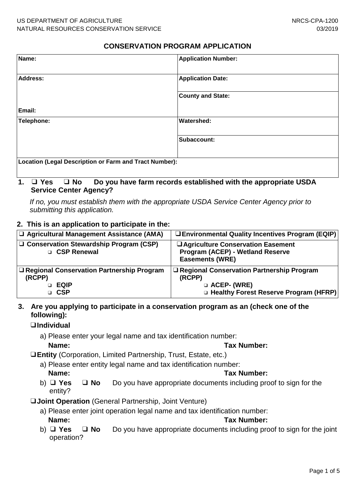## **CONSERVATION PROGRAM APPLICATION**

| Name:                                                  | <b>Application Number:</b> |  |
|--------------------------------------------------------|----------------------------|--|
| Address:                                               | <b>Application Date:</b>   |  |
|                                                        | <b>County and State:</b>   |  |
| Email:                                                 |                            |  |
| Telephone:                                             | <b>Watershed:</b>          |  |
|                                                        | Subaccount:                |  |
| Location (Legal Description or Farm and Tract Number): |                            |  |
|                                                        |                            |  |

# **1.** ❑ **Yes** ❑ **No Do you have farm records established with the appropriate USDA Service Center Agency?**

*If no, you must establish them with the appropriate USDA Service Center Agency prior to submitting this application.*

#### **2. This is an application to participate in the:**

| □ Agricultural Management Assistance (AMA)                                    | <b>U</b> Environmental Quality Incentives Program (EQIP)                                                          |
|-------------------------------------------------------------------------------|-------------------------------------------------------------------------------------------------------------------|
| $\Box$ Conservation Stewardship Program (CSP)<br>□ CSP Renewal                | □ Agriculture Conservation Easement<br><b>Program (ACEP) - Wetland Reserve</b><br><b>Easements (WRE)</b>          |
| □ Regional Conservation Partnership Program<br>(RCPP)<br><b>EQIP</b><br>□ CSP | □ Regional Conservation Partnership Program<br>(RCPP)<br>□ ACEP- (WRE)<br>□ Healthy Forest Reserve Program (HFRP) |

### **3. Are you applying to participate in a conservation program as an (check one of the following):**

### ❑**Individual**

a) Please enter your legal name and tax identification number:

#### **Name: Tax Number:**

❑**Entity** (Corporation, Limited Partnership, Trust, Estate, etc.)

- a) Please enter entity legal name and tax identification number: **Name: Tax Number:**
- b) ❑ **Yes** ❑ **No** Do you have appropriate documents including proof to sign for the entity?
- ❑**Joint Operation** (General Partnership, Joint Venture)
	- a) Please enter joint operation legal name and tax identification number: **Name: Tax Number:**
	- b) ❑ **Yes** ❑ **No** Do you have appropriate documents including proof to sign for the joint operation?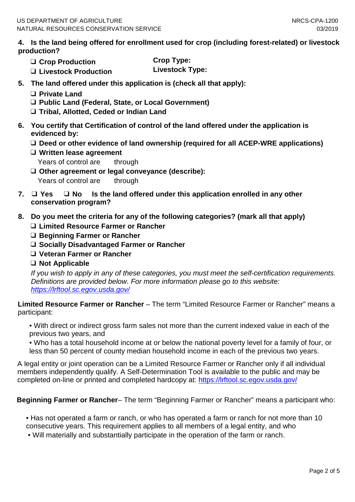**4. Is the land being offered for enrollment used for crop (including forest-related) or livestock production?**

- 
- ❑ **Crop Production Crop Type:** ❑ **Livestock Production Livestock Type:**
- **5. The land offered under this application is (check all that apply):**
	- ❑ **Private Land**
	- ❑ **Public Land (Federal, State, or Local Government)**
	- ❑ **Tribal, Allotted, Ceded or Indian Land**
- **6. You certify that Certification of control of the land offered under the application is evidenced by:**
	- ❑ **Deed or other evidence of land ownership (required for all ACEP-WRE applications)**
	- ❑ **Written lease agreement**
		- Years of control are through
	- ❑ **Other agreement or legal conveyance (describe):** Years of control are through
- **7.** ❑ **Yes** ❑ **No Is the land offered under this application enrolled in any other conservation program?**
- **8. Do you meet the criteria for any of the following categories? (mark all that apply)**
	- ❑ **Limited Resource Farmer or Rancher**
	- ❑ **Beginning Farmer or Rancher**
	- ❑ **Socially Disadvantaged Farmer or Rancher**
	- ❑ **Veteran Farmer or Rancher**
	- ❑ **Not Applicable**

*If you wish to apply in any of these categories, you must meet the self-certification requirements. Definitions are provided below. For more information please go to this website: <https://lrftool.sc.egov.usda.gov/>*

**Limited Resource Farmer or Rancher** – The term "Limited Resource Farmer or Rancher" means a participant:

• With direct or indirect gross farm sales not more than the current indexed value in each of the previous two years, and

• Who has a total household income at or below the national poverty level for a family of four, or less than 50 percent of county median household income in each of the previous two years.

A legal entity or joint operation can be a Limited Resource Farmer or Rancher only if all individual members independently qualify. A Self-Determination Tool is available to the public and may be completed on-line or printed and completed hardcopy at:<https://lrftool.sc.egov.usda.gov/>

# **Beginning Farmer or Rancher**– The term "Beginning Farmer or Rancher" means a participant who:

• Has not operated a farm or ranch, or who has operated a farm or ranch for not more than 10 consecutive years. This requirement applies to all members of a legal entity, and who

• Will materially and substantially participate in the operation of the farm or ranch.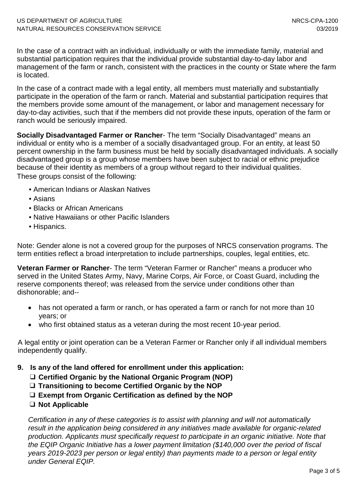In the case of a contract with an individual, individually or with the immediate family, material and substantial participation requires that the individual provide substantial day-to-day labor and management of the farm or ranch, consistent with the practices in the county or State where the farm is located.

In the case of a contract made with a legal entity, all members must materially and substantially participate in the operation of the farm or ranch. Material and substantial participation requires that the members provide some amount of the management, or labor and management necessary for day-to-day activities, such that if the members did not provide these inputs, operation of the farm or ranch would be seriously impaired.

**Socially Disadvantaged Farmer or Rancher**- The term "Socially Disadvantaged" means an individual or entity who is a member of a socially disadvantaged group. For an entity, at least 50 percent ownership in the farm business must be held by socially disadvantaged individuals. A socially disadvantaged group is a group whose members have been subject to racial or ethnic prejudice because of their identity as members of a group without regard to their individual qualities. These groups consist of the following:

- American Indians or Alaskan Natives
- Asians
- Blacks or African Americans
- Native Hawaiians or other Pacific Islanders
- Hispanics.

Note: Gender alone is not a covered group for the purposes of NRCS conservation programs. The term entities reflect a broad interpretation to include partnerships, couples, legal entities, etc.

**Veteran Farmer or Rancher**- The term "Veteran Farmer or Rancher" means a producer who served in the United States Army, Navy, Marine Corps, Air Force, or Coast Guard, including the reserve components thereof; was released from the service under conditions other than dishonorable; and--

- has not operated a farm or ranch, or has operated a farm or ranch for not more than 10 years; or
- who first obtained status as a veteran during the most recent 10-year period.

A legal entity or joint operation can be a Veteran Farmer or Rancher only if all individual members independently qualify.

**9. Is any of the land offered for enrollment under this application:**

- ❑ **Certified Organic by the National Organic Program (NOP)**
- ❑ **Transitioning to become Certified Organic by the NOP**
- ❑ **Exempt from Organic Certification as defined by the NOP**
- ❑ **Not Applicable**

*Certification in any of these categories is to assist with planning and will not automatically result in the application being considered in any initiatives made available for organic-related production. Applicants must specifically request to participate in an organic initiative. Note that the EQIP Organic Initiative has a lower payment limitation (\$140,000 over the period of fiscal years 2019-2023 per person or legal entity) than payments made to a person or legal entity under General EQIP.*